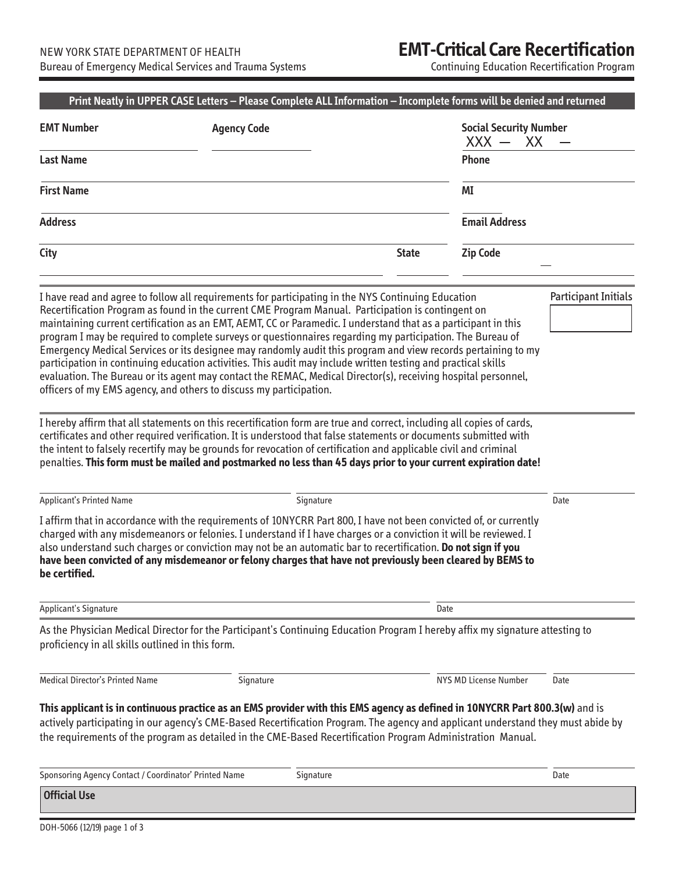## **EMT-Critical Care Recertification**

Continuing Education Recertification Program

| <b>EMT Number</b>                                     | <b>Agency Code</b>                                                                                                                                                                                                                                                                                                                                                                                                                                                                                                                                                                                                                                                                                                                                                                                                                                                                                                                                                                       |              | <b>Social Security Number</b><br>$XXX -$<br>XX |                             |  |
|-------------------------------------------------------|------------------------------------------------------------------------------------------------------------------------------------------------------------------------------------------------------------------------------------------------------------------------------------------------------------------------------------------------------------------------------------------------------------------------------------------------------------------------------------------------------------------------------------------------------------------------------------------------------------------------------------------------------------------------------------------------------------------------------------------------------------------------------------------------------------------------------------------------------------------------------------------------------------------------------------------------------------------------------------------|--------------|------------------------------------------------|-----------------------------|--|
| <b>Last Name</b>                                      |                                                                                                                                                                                                                                                                                                                                                                                                                                                                                                                                                                                                                                                                                                                                                                                                                                                                                                                                                                                          |              | Phone                                          |                             |  |
| <b>First Name</b>                                     |                                                                                                                                                                                                                                                                                                                                                                                                                                                                                                                                                                                                                                                                                                                                                                                                                                                                                                                                                                                          |              | ΜI                                             |                             |  |
| <b>Address</b>                                        |                                                                                                                                                                                                                                                                                                                                                                                                                                                                                                                                                                                                                                                                                                                                                                                                                                                                                                                                                                                          |              | <b>Email Address</b>                           |                             |  |
| City                                                  |                                                                                                                                                                                                                                                                                                                                                                                                                                                                                                                                                                                                                                                                                                                                                                                                                                                                                                                                                                                          | <b>State</b> | <b>Zip Code</b>                                |                             |  |
|                                                       | I have read and agree to follow all requirements for participating in the NYS Continuing Education<br>Recertification Program as found in the current CME Program Manual. Participation is contingent on<br>maintaining current certification as an EMT, AEMT, CC or Paramedic. I understand that as a participant in this<br>program I may be required to complete surveys or questionnaires regarding my participation. The Bureau of<br>Emergency Medical Services or its designee may randomly audit this program and view records pertaining to my<br>participation in continuing education activities. This audit may include written testing and practical skills<br>evaluation. The Bureau or its agent may contact the REMAC, Medical Director(s), receiving hospital personnel,<br>officers of my EMS agency, and others to discuss my participation.<br>I hereby affirm that all statements on this recertification form are true and correct, including all copies of cards, |              |                                                | <b>Participant Initials</b> |  |
|                                                       | certificates and other required verification. It is understood that false statements or documents submitted with<br>the intent to falsely recertify may be grounds for revocation of certification and applicable civil and criminal<br>penalties. This form must be mailed and postmarked no less than 45 days prior to your current expiration date!                                                                                                                                                                                                                                                                                                                                                                                                                                                                                                                                                                                                                                   |              |                                                |                             |  |
| <b>Applicant's Printed Name</b><br>be certified.      | Signature<br>I affirm that in accordance with the requirements of 10NYCRR Part 800, I have not been convicted of, or currently<br>charged with any misdemeanors or felonies. I understand if I have charges or a conviction it will be reviewed. I<br>also understand such charges or conviction may not be an automatic bar to recertification. Do not sign if you<br>have been convicted of any misdemeanor or felony charges that have not previously been cleared by BEMS to                                                                                                                                                                                                                                                                                                                                                                                                                                                                                                         |              |                                                | Date                        |  |
| Applicant's Signature                                 |                                                                                                                                                                                                                                                                                                                                                                                                                                                                                                                                                                                                                                                                                                                                                                                                                                                                                                                                                                                          | Date         |                                                |                             |  |
| proficiency in all skills outlined in this form.      | As the Physician Medical Director for the Participant's Continuing Education Program I hereby affix my signature attesting to                                                                                                                                                                                                                                                                                                                                                                                                                                                                                                                                                                                                                                                                                                                                                                                                                                                            |              |                                                |                             |  |
| Medical Director's Printed Name                       | Signature                                                                                                                                                                                                                                                                                                                                                                                                                                                                                                                                                                                                                                                                                                                                                                                                                                                                                                                                                                                |              | NYS MD License Number                          | Date                        |  |
|                                                       | This applicant is in continuous practice as an EMS provider with this EMS agency as defined in 10NYCRR Part 800.3(w) and is<br>actively participating in our agency's CME-Based Recertification Program. The agency and applicant understand they must abide by<br>the requirements of the program as detailed in the CME-Based Recertification Program Administration Manual.                                                                                                                                                                                                                                                                                                                                                                                                                                                                                                                                                                                                           |              |                                                |                             |  |
| Sponsoring Agency Contact / Coordinator' Printed Name | Signature                                                                                                                                                                                                                                                                                                                                                                                                                                                                                                                                                                                                                                                                                                                                                                                                                                                                                                                                                                                |              |                                                | Date                        |  |
| <b>Official Use</b>                                   |                                                                                                                                                                                                                                                                                                                                                                                                                                                                                                                                                                                                                                                                                                                                                                                                                                                                                                                                                                                          |              |                                                |                             |  |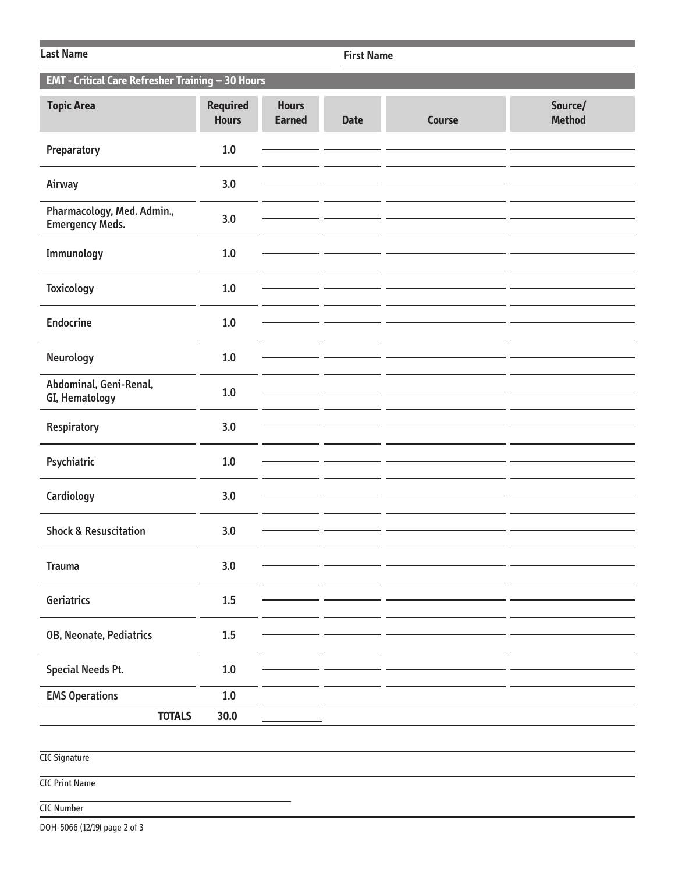| <b>Last Name</b>                                     |                                 |                               |             | <b>First Name</b> |                          |  |  |  |
|------------------------------------------------------|---------------------------------|-------------------------------|-------------|-------------------|--------------------------|--|--|--|
| EMT - Critical Care Refresher Training - 30 Hours    |                                 |                               |             |                   |                          |  |  |  |
| <b>Topic Area</b>                                    | <b>Required</b><br><b>Hours</b> | <b>Hours</b><br><b>Earned</b> | <b>Date</b> | <b>Course</b>     | Source/<br><b>Method</b> |  |  |  |
| Preparatory                                          | $1.0\,$                         |                               |             |                   |                          |  |  |  |
| Airway                                               | 3.0                             |                               |             |                   |                          |  |  |  |
| Pharmacology, Med. Admin.,<br><b>Emergency Meds.</b> | 3.0                             |                               |             |                   |                          |  |  |  |
| Immunology                                           | 1.0                             |                               |             |                   |                          |  |  |  |
| <b>Toxicology</b>                                    | $1.0$                           |                               |             |                   |                          |  |  |  |
| <b>Endocrine</b>                                     | $1.0\,$                         |                               |             |                   |                          |  |  |  |
| Neurology                                            | 1.0                             |                               |             |                   |                          |  |  |  |
| Abdominal, Geni-Renal,<br>GI, Hematology             | 1.0                             |                               |             |                   |                          |  |  |  |
| Respiratory                                          | 3.0                             |                               |             |                   |                          |  |  |  |
| Psychiatric                                          | 1.0                             |                               |             |                   |                          |  |  |  |
| Cardiology                                           | 3.0                             |                               |             |                   |                          |  |  |  |
| <b>Shock &amp; Resuscitation</b>                     | 3.0                             |                               |             |                   |                          |  |  |  |
| <b>Trauma</b>                                        | 3.0                             |                               |             |                   |                          |  |  |  |
| Geriatrics                                           | 1.5                             |                               |             |                   |                          |  |  |  |
| OB, Neonate, Pediatrics                              | $1.5\,$                         |                               |             |                   |                          |  |  |  |
| <b>Special Needs Pt.</b>                             | $1.0\,$                         |                               |             |                   |                          |  |  |  |
| <b>EMS Operations</b>                                | 1.0                             |                               |             |                   |                          |  |  |  |
| <b>TOTALS</b><br>30.0                                |                                 |                               |             |                   |                          |  |  |  |
|                                                      |                                 |                               |             |                   |                          |  |  |  |
| <b>CIC Signature</b>                                 |                                 |                               |             |                   |                          |  |  |  |
| <b>CIC Print Name</b>                                |                                 |                               |             |                   |                          |  |  |  |
| <b>CIC Number</b>                                    |                                 |                               |             |                   |                          |  |  |  |

DOH-5066 (12/19) page 2 of 3